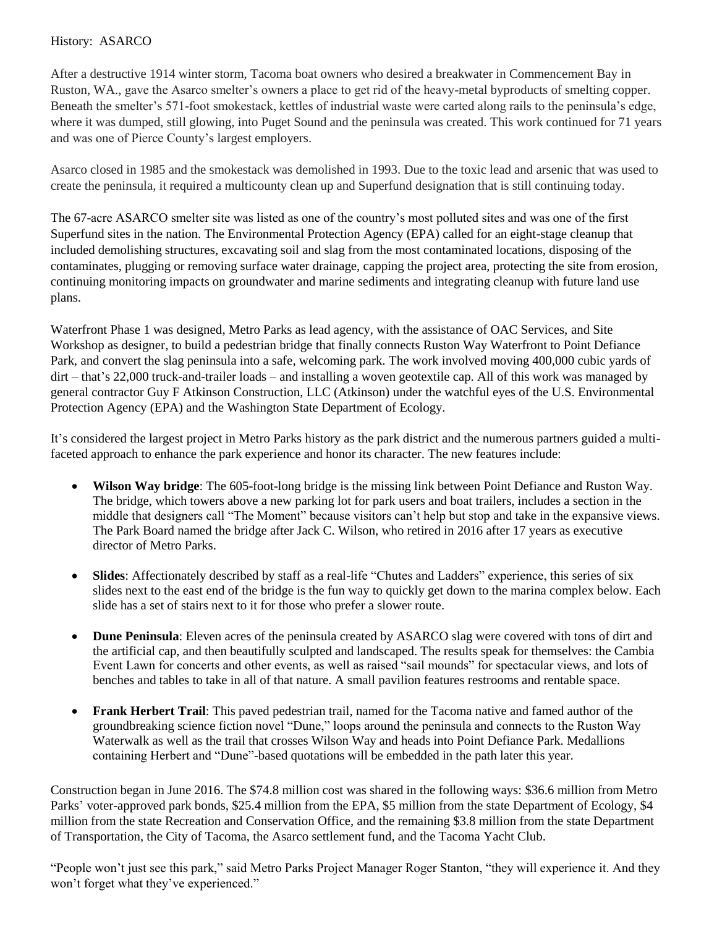## History: ASARCO

After a destructive 1914 winter storm, Tacoma boat owners who desired a breakwater in Commencement Bay in Ruston, WA., gave the Asarco smelter's owners a place to get rid of the heavy-metal byproducts of smelting copper. Beneath the smelter's 571-foot smokestack, kettles of industrial waste were carted along rails to the peninsula's edge, where it was dumped, still glowing, into Puget Sound and the peninsula was created. This work continued for 71 years and was one of Pierce County's largest employers.

Asarco closed in 1985 and the smokestack was demolished in 1993. Due to the toxic lead and arsenic that was used to create the peninsula, it required a multicounty clean up and Superfund designation that is still continuing today.

The 67-acre ASARCO smelter site was listed as one of the country's most polluted sites and was one of the first Superfund sites in the nation. The Environmental Protection Agency (EPA) called for an eight-stage cleanup that included demolishing structures, excavating soil and slag from the most contaminated locations, disposing of the contaminates, plugging or removing surface water drainage, capping the project area, protecting the site from erosion, continuing monitoring impacts on groundwater and marine sediments and integrating cleanup with future land use plans.

Waterfront Phase 1 was designed, Metro Parks as lead agency, with the assistance of OAC Services, and Site Workshop as designer, to build a pedestrian bridge that finally connects Ruston Way Waterfront to Point Defiance Park, and convert the slag peninsula into a safe, welcoming park. The work involved moving 400,000 cubic yards of dirt – that's 22,000 truck-and-trailer loads – and installing a woven geotextile cap. All of this work was managed by general contractor Guy F Atkinson Construction, LLC (Atkinson) under the watchful eyes of the U.S. Environmental Protection Agency (EPA) and the Washington State Department of Ecology.

It's considered the largest project in Metro Parks history as the park district and the numerous partners guided a multifaceted approach to enhance the park experience and honor its character. The new features include:

- **Wilson Way bridge**: The 605-foot-long bridge is the missing link between Point Defiance and Ruston Way. The bridge, which towers above a new parking lot for park users and boat trailers, includes a section in the middle that designers call "The Moment" because visitors can't help but stop and take in the expansive views. The Park Board named the bridge after Jack C. Wilson, who retired in 2016 after 17 years as executive director of Metro Parks.
- **Slides**: Affectionately described by staff as a real-life "Chutes and Ladders" experience, this series of six slides next to the east end of the bridge is the fun way to quickly get down to the marina complex below. Each slide has a set of stairs next to it for those who prefer a slower route.
- **Dune Peninsula**: Eleven acres of the peninsula created by ASARCO slag were covered with tons of dirt and the artificial cap, and then beautifully sculpted and landscaped. The results speak for themselves: the Cambia Event Lawn for concerts and other events, as well as raised "sail mounds" for spectacular views, and lots of benches and tables to take in all of that nature. A small pavilion features restrooms and rentable space.
- **Frank Herbert Trail**: This paved pedestrian trail, named for the Tacoma native and famed author of the groundbreaking science fiction novel "Dune," loops around the peninsula and connects to the Ruston Way Waterwalk as well as the trail that crosses Wilson Way and heads into Point Defiance Park. Medallions containing Herbert and "Dune"-based quotations will be embedded in the path later this year.

Construction began in June 2016. The \$74.8 million cost was shared in the following ways: \$36.6 million from Metro Parks' voter-approved park bonds, \$25.4 million from the EPA, \$5 million from the state Department of Ecology, \$4 million from the state Recreation and Conservation Office, and the remaining \$3.8 million from the state Department of Transportation, the City of Tacoma, the Asarco settlement fund, and the Tacoma Yacht Club.

"People won't just see this park," said Metro Parks Project Manager Roger Stanton, "they will experience it. And they won't forget what they've experienced."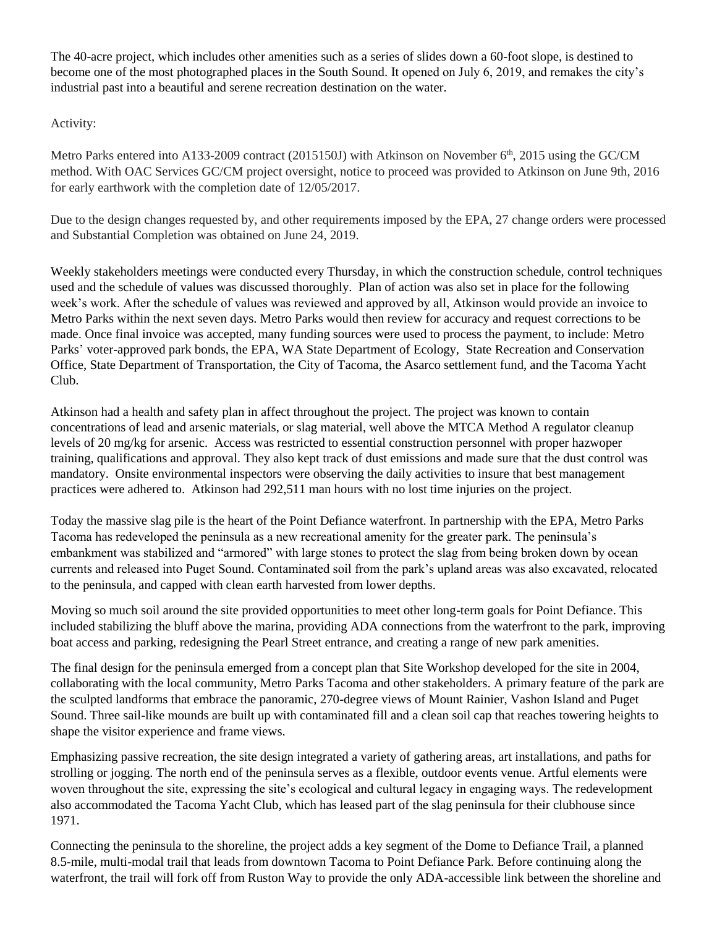The 40-acre project, which includes other amenities such as a series of slides down a 60-foot slope, is destined to become one of the most photographed places in the South Sound. It opened on July 6, 2019, and remakes the city's industrial past into a beautiful and serene recreation destination on the water.

Activity:

Metro Parks entered into A133-2009 contract (2015150J) with Atkinson on November  $6<sup>th</sup>$ , 2015 using the GC/CM method. With OAC Services GC/CM project oversight, notice to proceed was provided to Atkinson on June 9th, 2016 for early earthwork with the completion date of 12/05/2017.

Due to the design changes requested by, and other requirements imposed by the EPA, 27 change orders were processed and Substantial Completion was obtained on June 24, 2019.

Weekly stakeholders meetings were conducted every Thursday, in which the construction schedule, control techniques used and the schedule of values was discussed thoroughly. Plan of action was also set in place for the following week's work. After the schedule of values was reviewed and approved by all, Atkinson would provide an invoice to Metro Parks within the next seven days. Metro Parks would then review for accuracy and request corrections to be made. Once final invoice was accepted, many funding sources were used to process the payment, to include: Metro Parks' voter-approved park bonds, the EPA, WA State Department of Ecology, State Recreation and Conservation Office, State Department of Transportation, the City of Tacoma, the Asarco settlement fund, and the Tacoma Yacht Club.

Atkinson had a health and safety plan in affect throughout the project. The project was known to contain concentrations of lead and arsenic materials, or slag material, well above the MTCA Method A regulator cleanup levels of 20 mg/kg for arsenic. Access was restricted to essential construction personnel with proper hazwoper training, qualifications and approval. They also kept track of dust emissions and made sure that the dust control was mandatory. Onsite environmental inspectors were observing the daily activities to insure that best management practices were adhered to. Atkinson had 292,511 man hours with no lost time injuries on the project.

Today the massive slag pile is the heart of the Point Defiance waterfront. In partnership with the EPA, Metro Parks Tacoma has redeveloped the peninsula as a new recreational amenity for the greater park. The peninsula's embankment was stabilized and "armored" with large stones to protect the slag from being broken down by ocean currents and released into Puget Sound. Contaminated soil from the park's upland areas was also excavated, relocated to the peninsula, and capped with clean earth harvested from lower depths.

Moving so much soil around the site provided opportunities to meet other long-term goals for Point Defiance. This included stabilizing the bluff above the marina, providing ADA connections from the waterfront to the park, improving boat access and parking, redesigning the Pearl Street entrance, and creating a range of new park amenities.

The final design for the peninsula emerged from a concept plan that Site Workshop developed for the site in 2004, collaborating with the local community, Metro Parks Tacoma and other stakeholders. A primary feature of the park are the sculpted landforms that embrace the panoramic, 270-degree views of Mount Rainier, Vashon Island and Puget Sound. Three sail-like mounds are built up with contaminated fill and a clean soil cap that reaches towering heights to shape the visitor experience and frame views.

Emphasizing passive recreation, the site design integrated a variety of gathering areas, art installations, and paths for strolling or jogging. The north end of the peninsula serves as a flexible, outdoor events venue. Artful elements were woven throughout the site, expressing the site's ecological and cultural legacy in engaging ways. The redevelopment also accommodated the Tacoma Yacht Club, which has leased part of the slag peninsula for their clubhouse since 1971.

Connecting the peninsula to the shoreline, the project adds a key segment of the Dome to Defiance Trail, a planned 8.5-mile, multi-modal trail that leads from downtown Tacoma to Point Defiance Park. Before continuing along the waterfront, the trail will fork off from Ruston Way to provide the only ADA-accessible link between the shoreline and